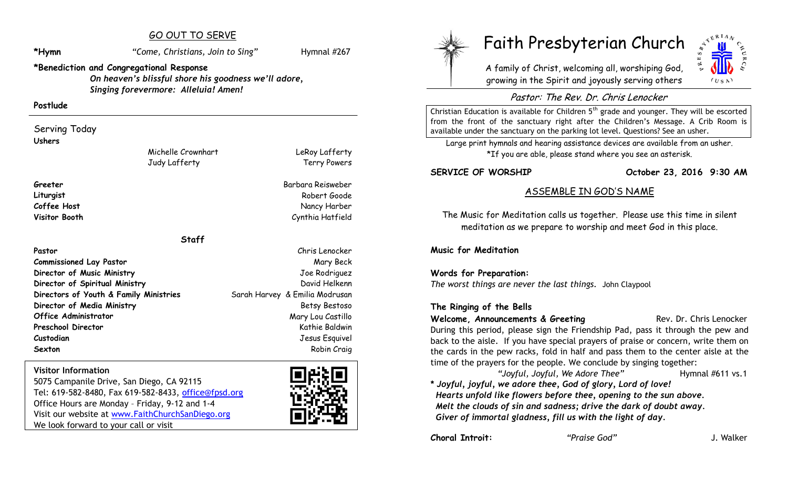# GO OUT TO SERVE

\*Hymn *"Come, Christians, Join to Sing"* Hymnal #267

LeRoy Lafferty Terry Powers

# **\*Benediction and Congregational Response**

*On heaven's blissful shore his goodness we'll adore, Singing forevermore: Alleluia! Amen!*

#### **Postlude**

Serving Today **Ushers**

> Michelle Crownhart Judy Lafferty

#### **Greeter** Barbara Reisweber

**Liturgist** Robert Goode **Coffee Host** Nancy Harber Nancy Harber Nancy Harber Nancy Harber Nancy Harber Nancy Harber Nancy Harber Nancy Harber **Visitor Booth** Cynthia Hatfield

**Staff**

**Pastor** Chris Lenocker **Commissioned Lay Pastor** Mary Beck **Mary Beck Director of Music Ministry** Joe Rodriguez **Director of Spiritual Ministry Community Community Community Community Community Community Community Community Directors of Youth & Family Ministries** Sarah Harvey & Emilia Modrusan **Director of Media Ministry Sexually Betsy Bestoso Office Administrator** Mary Lou Castillo **Preschool Director** Communication and Communication and Communication and Communication and Kathie Baldwin **Custodian** Jesus Esquivel **Sexton** Robin Craig **Robin Craig** 

# **Visitor Information**

5075 Campanile Drive, San Diego, CA 92115 Tel: 619-582-8480, Fax 619-582-8433, office@fpsd.org Office Hours are Monday – Friday, 9-12 and 1-4 Visit our website at [www.FaithChurchSanDiego.org](http://www.faithchurchsandiego.org/) We look forward to your call or visit





# Faith Presbyterian Church

A family of Christ, welcoming all, worshiping God, growing in the Spirit and joyously serving others



# Pastor: The Rev. Dr. Chris Lenocker

Christian Education is available for Children  $5<sup>th</sup>$  grade and younger. They will be escorted from the front of the sanctuary right after the Children's Message. A Crib Room is available under the sanctuary on the parking lot level. Questions? See an usher.

Large print hymnals and hearing assistance devices are available from an usher. \*If you are able, please stand where you see an asterisk.

**SERVICE OF WORSHIP October 23, 2016 9:30 AM**

# ASSEMBLE IN GOD'S NAME

The Music for Meditation calls us together. Please use this time in silent meditation as we prepare to worship and meet God in this place.

**Music for Meditation**

# **Words for Preparation:**

*The worst things are never the last things.* John Claypool

# **The Ringing of the Bells**

**Welcome, Announcements & Greeting The Rev. Dr. Chris Lenocker** During this period, please sign the Friendship Pad, pass it through the pew and back to the aisle. If you have special prayers of praise or concern, write them on the cards in the pew racks, fold in half and pass them to the center aisle at the time of the prayers for the people. We conclude by singing together:

*"Joyful, Joyful, We Adore Thee"* Hymnal #611 vs.1

**\*** *Joyful, joyful, we adore thee, God of glory, Lord of love! Hearts unfold like flowers before thee, opening to the sun above. Melt the clouds of sin and sadness; drive the dark of doubt away. Giver of immortal gladness, fill us with the light of day.*

**Choral Introit:** *"Praise God"* J. Walker